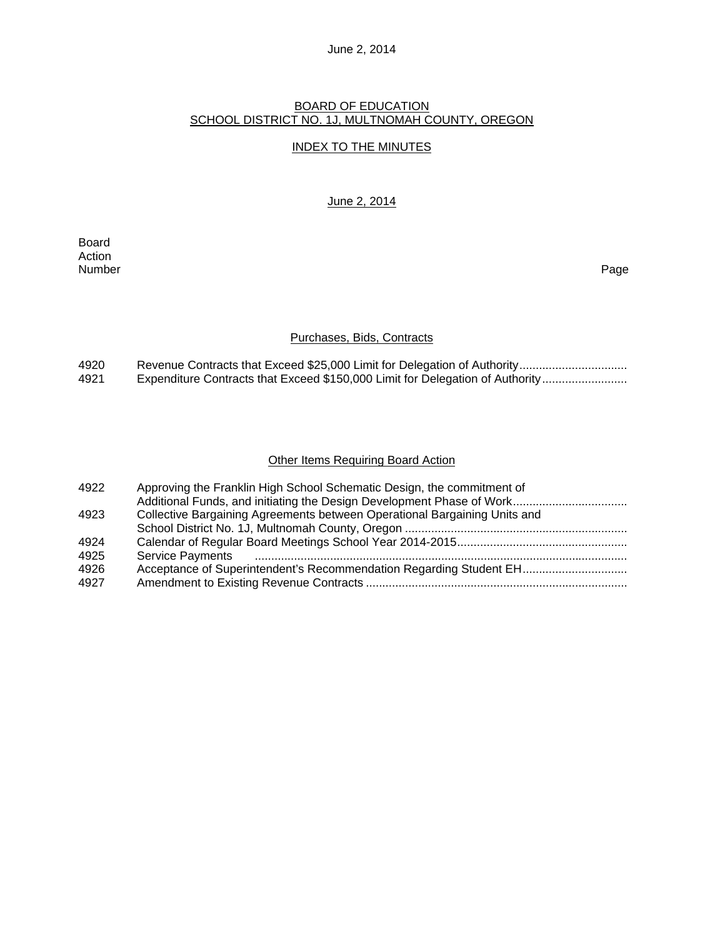# June 2, 2014

### BOARD OF EDUCATION SCHOOL DISTRICT NO. 1J, MULTNOMAH COUNTY, OREGON

### INDEX TO THE MINUTES

#### June 2, 2014

Board Action<br>Number Number Page

### Purchases, Bids, Contracts

| 4920 |                                                                               |
|------|-------------------------------------------------------------------------------|
| 4921 | Expenditure Contracts that Exceed \$150,000 Limit for Delegation of Authority |

### **Other Items Requiring Board Action**

| 4922 | Approving the Franklin High School Schematic Design, the commitment of    |
|------|---------------------------------------------------------------------------|
|      |                                                                           |
| 4923 | Collective Bargaining Agreements between Operational Bargaining Units and |
|      |                                                                           |
| 4924 |                                                                           |
| 4925 |                                                                           |
| 4926 | Acceptance of Superintendent's Recommendation Regarding Student EH        |
| 4927 |                                                                           |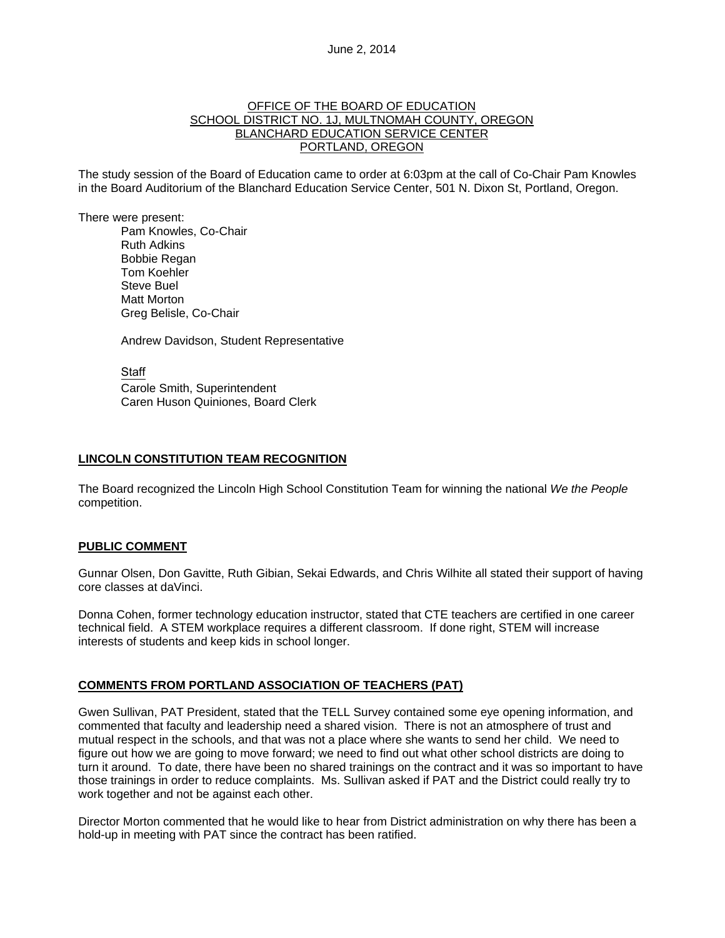#### OFFICE OF THE BOARD OF EDUCATION SCHOOL DISTRICT NO. 1J, MULTNOMAH COUNTY, OREGON BLANCHARD EDUCATION SERVICE CENTER PORTLAND, OREGON

The study session of the Board of Education came to order at 6:03pm at the call of Co-Chair Pam Knowles in the Board Auditorium of the Blanchard Education Service Center, 501 N. Dixon St, Portland, Oregon.

There were present: Pam Knowles, Co-Chair Ruth Adkins Bobbie Regan Tom Koehler Steve Buel Matt Morton Greg Belisle, Co-Chair

Andrew Davidson, Student Representative

**Staff** 

 Carole Smith, Superintendent Caren Huson Quiniones, Board Clerk

### **LINCOLN CONSTITUTION TEAM RECOGNITION**

The Board recognized the Lincoln High School Constitution Team for winning the national *We the People*  competition.

#### **PUBLIC COMMENT**

Gunnar Olsen, Don Gavitte, Ruth Gibian, Sekai Edwards, and Chris Wilhite all stated their support of having core classes at daVinci.

Donna Cohen, former technology education instructor, stated that CTE teachers are certified in one career technical field. A STEM workplace requires a different classroom. If done right, STEM will increase interests of students and keep kids in school longer.

#### **COMMENTS FROM PORTLAND ASSOCIATION OF TEACHERS (PAT)**

Gwen Sullivan, PAT President, stated that the TELL Survey contained some eye opening information, and commented that faculty and leadership need a shared vision. There is not an atmosphere of trust and mutual respect in the schools, and that was not a place where she wants to send her child. We need to figure out how we are going to move forward; we need to find out what other school districts are doing to turn it around. To date, there have been no shared trainings on the contract and it was so important to have those trainings in order to reduce complaints. Ms. Sullivan asked if PAT and the District could really try to work together and not be against each other.

Director Morton commented that he would like to hear from District administration on why there has been a hold-up in meeting with PAT since the contract has been ratified.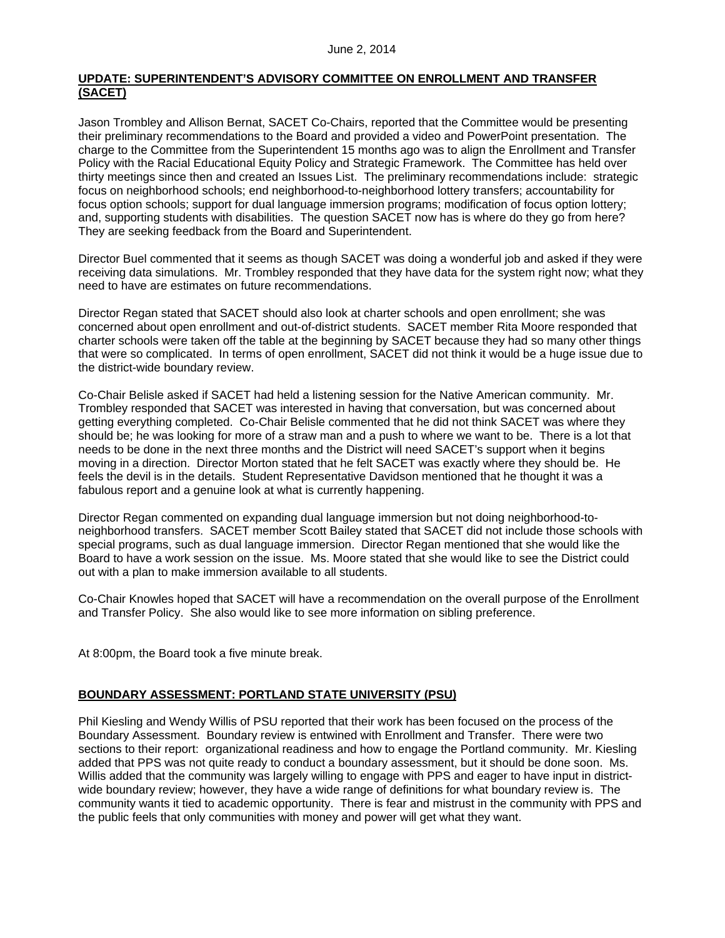## **UPDATE: SUPERINTENDENT'S ADVISORY COMMITTEE ON ENROLLMENT AND TRANSFER (SACET)**

Jason Trombley and Allison Bernat, SACET Co-Chairs, reported that the Committee would be presenting their preliminary recommendations to the Board and provided a video and PowerPoint presentation. The charge to the Committee from the Superintendent 15 months ago was to align the Enrollment and Transfer Policy with the Racial Educational Equity Policy and Strategic Framework. The Committee has held over thirty meetings since then and created an Issues List. The preliminary recommendations include: strategic focus on neighborhood schools; end neighborhood-to-neighborhood lottery transfers; accountability for focus option schools; support for dual language immersion programs; modification of focus option lottery; and, supporting students with disabilities. The question SACET now has is where do they go from here? They are seeking feedback from the Board and Superintendent.

Director Buel commented that it seems as though SACET was doing a wonderful job and asked if they were receiving data simulations. Mr. Trombley responded that they have data for the system right now; what they need to have are estimates on future recommendations.

Director Regan stated that SACET should also look at charter schools and open enrollment; she was concerned about open enrollment and out-of-district students. SACET member Rita Moore responded that charter schools were taken off the table at the beginning by SACET because they had so many other things that were so complicated. In terms of open enrollment, SACET did not think it would be a huge issue due to the district-wide boundary review.

Co-Chair Belisle asked if SACET had held a listening session for the Native American community. Mr. Trombley responded that SACET was interested in having that conversation, but was concerned about getting everything completed. Co-Chair Belisle commented that he did not think SACET was where they should be; he was looking for more of a straw man and a push to where we want to be. There is a lot that needs to be done in the next three months and the District will need SACET's support when it begins moving in a direction. Director Morton stated that he felt SACET was exactly where they should be. He feels the devil is in the details. Student Representative Davidson mentioned that he thought it was a fabulous report and a genuine look at what is currently happening.

Director Regan commented on expanding dual language immersion but not doing neighborhood-toneighborhood transfers. SACET member Scott Bailey stated that SACET did not include those schools with special programs, such as dual language immersion. Director Regan mentioned that she would like the Board to have a work session on the issue. Ms. Moore stated that she would like to see the District could out with a plan to make immersion available to all students.

Co-Chair Knowles hoped that SACET will have a recommendation on the overall purpose of the Enrollment and Transfer Policy. She also would like to see more information on sibling preference.

At 8:00pm, the Board took a five minute break.

## **BOUNDARY ASSESSMENT: PORTLAND STATE UNIVERSITY (PSU)**

Phil Kiesling and Wendy Willis of PSU reported that their work has been focused on the process of the Boundary Assessment. Boundary review is entwined with Enrollment and Transfer. There were two sections to their report: organizational readiness and how to engage the Portland community. Mr. Kiesling added that PPS was not quite ready to conduct a boundary assessment, but it should be done soon. Ms. Willis added that the community was largely willing to engage with PPS and eager to have input in districtwide boundary review; however, they have a wide range of definitions for what boundary review is. The community wants it tied to academic opportunity. There is fear and mistrust in the community with PPS and the public feels that only communities with money and power will get what they want.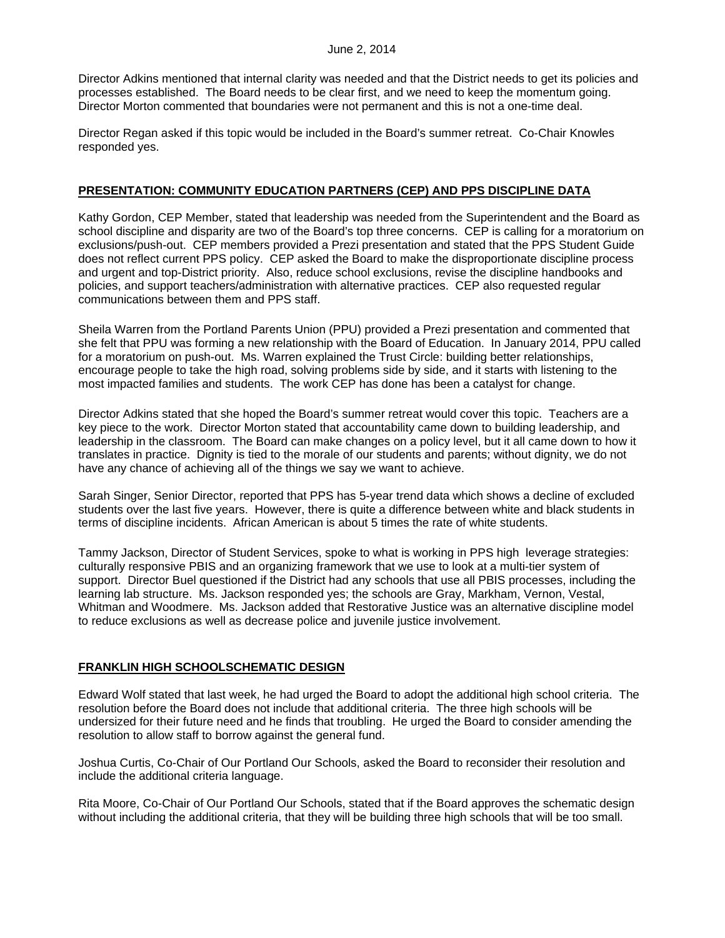Director Adkins mentioned that internal clarity was needed and that the District needs to get its policies and processes established. The Board needs to be clear first, and we need to keep the momentum going. Director Morton commented that boundaries were not permanent and this is not a one-time deal.

Director Regan asked if this topic would be included in the Board's summer retreat. Co-Chair Knowles responded yes.

### **PRESENTATION: COMMUNITY EDUCATION PARTNERS (CEP) AND PPS DISCIPLINE DATA**

Kathy Gordon, CEP Member, stated that leadership was needed from the Superintendent and the Board as school discipline and disparity are two of the Board's top three concerns. CEP is calling for a moratorium on exclusions/push-out. CEP members provided a Prezi presentation and stated that the PPS Student Guide does not reflect current PPS policy. CEP asked the Board to make the disproportionate discipline process and urgent and top-District priority. Also, reduce school exclusions, revise the discipline handbooks and policies, and support teachers/administration with alternative practices. CEP also requested regular communications between them and PPS staff.

Sheila Warren from the Portland Parents Union (PPU) provided a Prezi presentation and commented that she felt that PPU was forming a new relationship with the Board of Education. In January 2014, PPU called for a moratorium on push-out. Ms. Warren explained the Trust Circle: building better relationships, encourage people to take the high road, solving problems side by side, and it starts with listening to the most impacted families and students. The work CEP has done has been a catalyst for change.

Director Adkins stated that she hoped the Board's summer retreat would cover this topic. Teachers are a key piece to the work. Director Morton stated that accountability came down to building leadership, and leadership in the classroom. The Board can make changes on a policy level, but it all came down to how it translates in practice. Dignity is tied to the morale of our students and parents; without dignity, we do not have any chance of achieving all of the things we say we want to achieve.

Sarah Singer, Senior Director, reported that PPS has 5-year trend data which shows a decline of excluded students over the last five years. However, there is quite a difference between white and black students in terms of discipline incidents. African American is about 5 times the rate of white students.

Tammy Jackson, Director of Student Services, spoke to what is working in PPS high leverage strategies: culturally responsive PBIS and an organizing framework that we use to look at a multi-tier system of support. Director Buel questioned if the District had any schools that use all PBIS processes, including the learning lab structure. Ms. Jackson responded yes; the schools are Gray, Markham, Vernon, Vestal, Whitman and Woodmere. Ms. Jackson added that Restorative Justice was an alternative discipline model to reduce exclusions as well as decrease police and juvenile justice involvement.

## **FRANKLIN HIGH SCHOOLSCHEMATIC DESIGN**

Edward Wolf stated that last week, he had urged the Board to adopt the additional high school criteria. The resolution before the Board does not include that additional criteria. The three high schools will be undersized for their future need and he finds that troubling. He urged the Board to consider amending the resolution to allow staff to borrow against the general fund.

Joshua Curtis, Co-Chair of Our Portland Our Schools, asked the Board to reconsider their resolution and include the additional criteria language.

Rita Moore, Co-Chair of Our Portland Our Schools, stated that if the Board approves the schematic design without including the additional criteria, that they will be building three high schools that will be too small.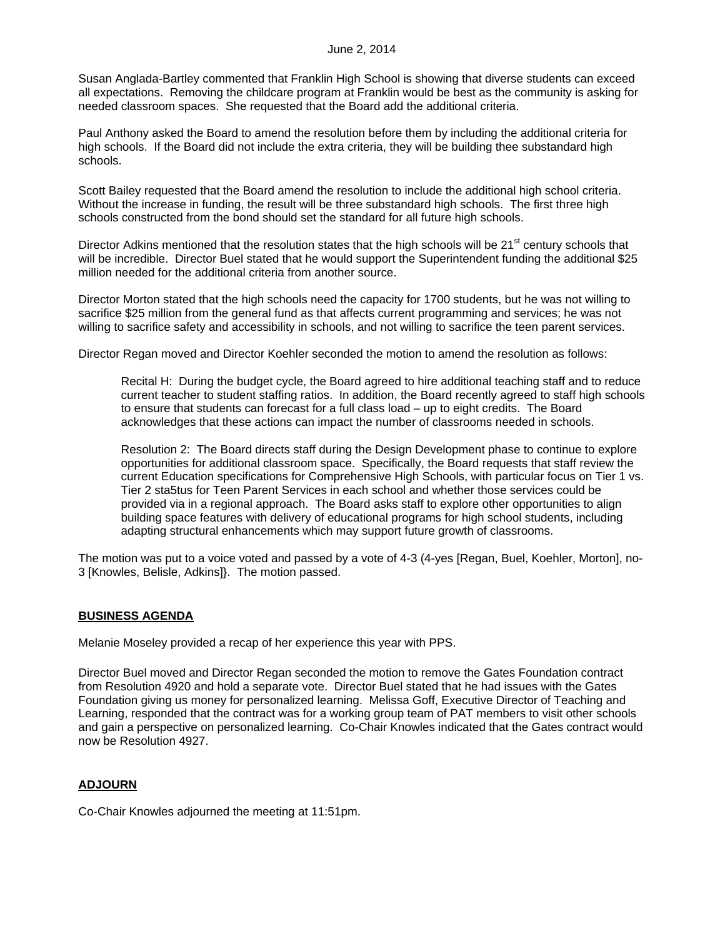Susan Anglada-Bartley commented that Franklin High School is showing that diverse students can exceed all expectations. Removing the childcare program at Franklin would be best as the community is asking for needed classroom spaces. She requested that the Board add the additional criteria.

Paul Anthony asked the Board to amend the resolution before them by including the additional criteria for high schools. If the Board did not include the extra criteria, they will be building thee substandard high schools.

Scott Bailey requested that the Board amend the resolution to include the additional high school criteria. Without the increase in funding, the result will be three substandard high schools. The first three high schools constructed from the bond should set the standard for all future high schools.

Director Adkins mentioned that the resolution states that the high schools will be  $21<sup>st</sup>$  century schools that will be incredible. Director Buel stated that he would support the Superintendent funding the additional \$25 million needed for the additional criteria from another source.

Director Morton stated that the high schools need the capacity for 1700 students, but he was not willing to sacrifice \$25 million from the general fund as that affects current programming and services; he was not willing to sacrifice safety and accessibility in schools, and not willing to sacrifice the teen parent services.

Director Regan moved and Director Koehler seconded the motion to amend the resolution as follows:

Recital H: During the budget cycle, the Board agreed to hire additional teaching staff and to reduce current teacher to student staffing ratios. In addition, the Board recently agreed to staff high schools to ensure that students can forecast for a full class load – up to eight credits. The Board acknowledges that these actions can impact the number of classrooms needed in schools.

Resolution 2: The Board directs staff during the Design Development phase to continue to explore opportunities for additional classroom space. Specifically, the Board requests that staff review the current Education specifications for Comprehensive High Schools, with particular focus on Tier 1 vs. Tier 2 sta5tus for Teen Parent Services in each school and whether those services could be provided via in a regional approach. The Board asks staff to explore other opportunities to align building space features with delivery of educational programs for high school students, including adapting structural enhancements which may support future growth of classrooms.

The motion was put to a voice voted and passed by a vote of 4-3 (4-yes [Regan, Buel, Koehler, Morton], no-3 [Knowles, Belisle, Adkins]}. The motion passed.

## **BUSINESS AGENDA**

Melanie Moseley provided a recap of her experience this year with PPS.

Director Buel moved and Director Regan seconded the motion to remove the Gates Foundation contract from Resolution 4920 and hold a separate vote. Director Buel stated that he had issues with the Gates Foundation giving us money for personalized learning. Melissa Goff, Executive Director of Teaching and Learning, responded that the contract was for a working group team of PAT members to visit other schools and gain a perspective on personalized learning. Co-Chair Knowles indicated that the Gates contract would now be Resolution 4927.

## **ADJOURN**

Co-Chair Knowles adjourned the meeting at 11:51pm.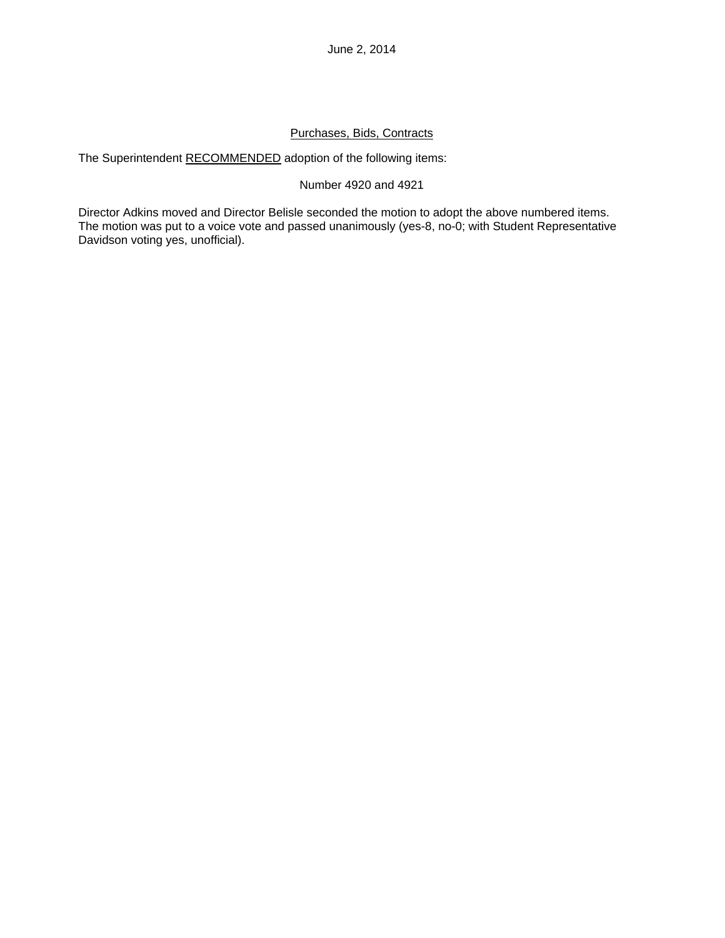# Purchases, Bids, Contracts

The Superintendent RECOMMENDED adoption of the following items:

### Number 4920 and 4921

Director Adkins moved and Director Belisle seconded the motion to adopt the above numbered items. The motion was put to a voice vote and passed unanimously (yes-8, no-0; with Student Representative Davidson voting yes, unofficial).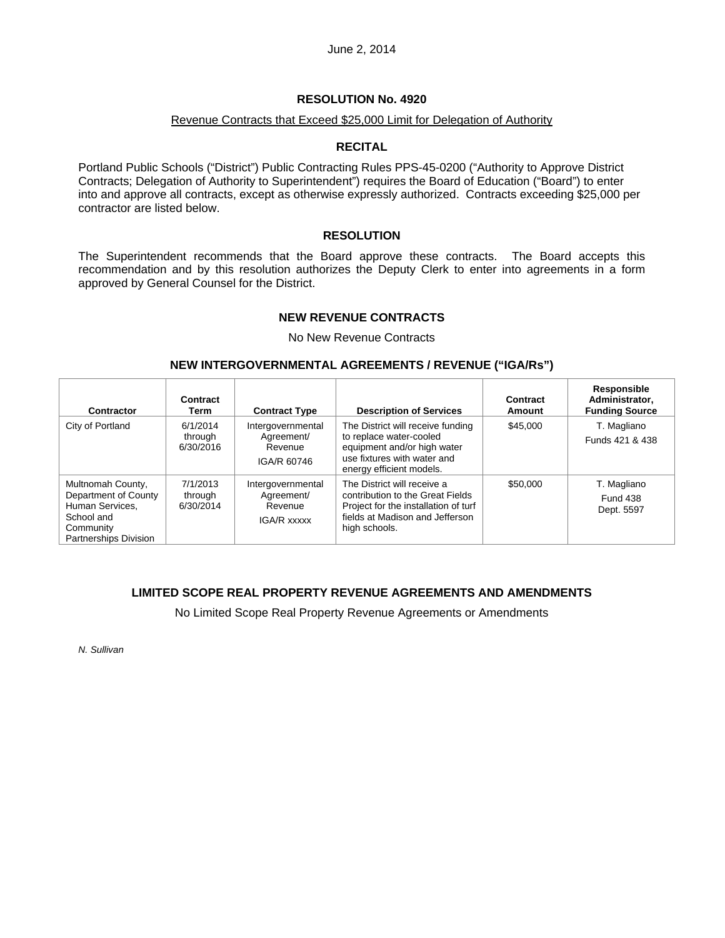### Revenue Contracts that Exceed \$25,000 Limit for Delegation of Authority

### **RECITAL**

Portland Public Schools ("District") Public Contracting Rules PPS-45-0200 ("Authority to Approve District Contracts; Delegation of Authority to Superintendent") requires the Board of Education ("Board") to enter into and approve all contracts, except as otherwise expressly authorized. Contracts exceeding \$25,000 per contractor are listed below.

### **RESOLUTION**

The Superintendent recommends that the Board approve these contracts. The Board accepts this recommendation and by this resolution authorizes the Deputy Clerk to enter into agreements in a form approved by General Counsel for the District.

### **NEW REVENUE CONTRACTS**

No New Revenue Contracts

### **NEW INTERGOVERNMENTAL AGREEMENTS / REVENUE ("IGA/Rs")**

| Contractor                                                                                                       | Contract<br>Term                 | <b>Contract Type</b>                                      | <b>Description of Services</b>                                                                                                                              | Contract<br>Amount | Responsible<br>Administrator,<br><b>Funding Source</b> |
|------------------------------------------------------------------------------------------------------------------|----------------------------------|-----------------------------------------------------------|-------------------------------------------------------------------------------------------------------------------------------------------------------------|--------------------|--------------------------------------------------------|
| City of Portland                                                                                                 | 6/1/2014<br>through<br>6/30/2016 | Intergovernmental<br>Agreement/<br>Revenue<br>IGA/R 60746 | The District will receive funding<br>to replace water-cooled<br>equipment and/or high water<br>use fixtures with water and<br>energy efficient models.      | \$45,000           | T. Magliano<br>Funds 421 & 438                         |
| Multnomah County,<br>Department of County<br>Human Services.<br>School and<br>Community<br>Partnerships Division | 7/1/2013<br>through<br>6/30/2014 | Intergovernmental<br>Agreement/<br>Revenue<br>IGA/R xxxxx | The District will receive a<br>contribution to the Great Fields<br>Project for the installation of turf<br>fields at Madison and Jefferson<br>high schools. | \$50,000           | T. Magliano<br><b>Fund 438</b><br>Dept. 5597           |

## **LIMITED SCOPE REAL PROPERTY REVENUE AGREEMENTS AND AMENDMENTS**

No Limited Scope Real Property Revenue Agreements or Amendments

*N. Sullivan*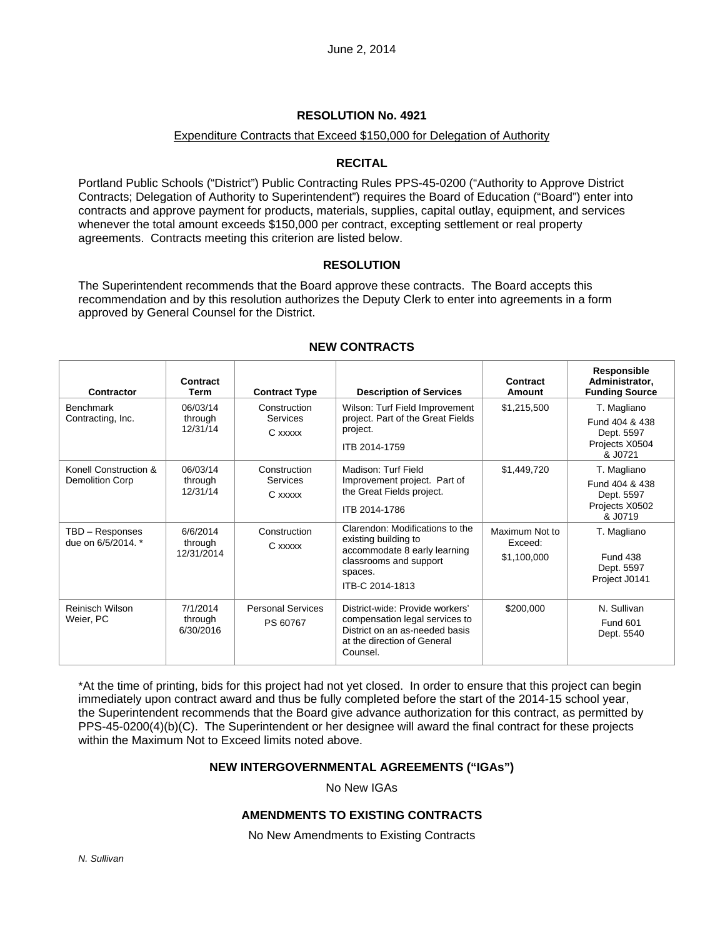#### Expenditure Contracts that Exceed \$150,000 for Delegation of Authority

### **RECITAL**

Portland Public Schools ("District") Public Contracting Rules PPS-45-0200 ("Authority to Approve District Contracts; Delegation of Authority to Superintendent") requires the Board of Education ("Board") enter into contracts and approve payment for products, materials, supplies, capital outlay, equipment, and services whenever the total amount exceeds \$150,000 per contract, excepting settlement or real property agreements. Contracts meeting this criterion are listed below.

### **RESOLUTION**

The Superintendent recommends that the Board approve these contracts. The Board accepts this recommendation and by this resolution authorizes the Deputy Clerk to enter into agreements in a form approved by General Counsel for the District.

| Contractor                                      | Contract<br>Term                  | <b>Contract Type</b>                       | <b>Description of Services</b>                                                                                                                  | Contract<br>Amount                       | Responsible<br>Administrator,<br><b>Funding Source</b>                   |
|-------------------------------------------------|-----------------------------------|--------------------------------------------|-------------------------------------------------------------------------------------------------------------------------------------------------|------------------------------------------|--------------------------------------------------------------------------|
| <b>Benchmark</b><br>Contracting, Inc.           | 06/03/14<br>through<br>12/31/14   | Construction<br><b>Services</b><br>C xxxxx | Wilson: Turf Field Improvement<br>project. Part of the Great Fields<br>project.<br>ITB 2014-1759                                                | \$1,215,500                              | T. Magliano<br>Fund 404 & 438<br>Dept. 5597<br>Projects X0504<br>& J0721 |
| Konell Construction &<br><b>Demolition Corp</b> | 06/03/14<br>through<br>12/31/14   | Construction<br>Services<br>C xxxxx        | Madison: Turf Field<br>Improvement project. Part of<br>the Great Fields project.<br>ITB 2014-1786                                               | \$1,449,720                              | T. Magliano<br>Fund 404 & 438<br>Dept. 5597<br>Projects X0502<br>& J0719 |
| TBD - Responses<br>due on 6/5/2014. *           | 6/6/2014<br>through<br>12/31/2014 | Construction<br>C xxxxx                    | Clarendon: Modifications to the<br>existing building to<br>accommodate 8 early learning<br>classrooms and support<br>spaces.<br>ITB-C 2014-1813 | Maximum Not to<br>Exceed:<br>\$1,100,000 | T. Magliano<br><b>Fund 438</b><br>Dept. 5597<br>Project J0141            |
| <b>Reinisch Wilson</b><br>Weier, PC             | 7/1/2014<br>through<br>6/30/2016  | <b>Personal Services</b><br>PS 60767       | District-wide: Provide workers'<br>compensation legal services to<br>District on an as-needed basis<br>at the direction of General<br>Counsel.  | \$200,000                                | N. Sullivan<br><b>Fund 601</b><br>Dept. 5540                             |

### **NEW CONTRACTS**

\*At the time of printing, bids for this project had not yet closed. In order to ensure that this project can begin immediately upon contract award and thus be fully completed before the start of the 2014-15 school year, the Superintendent recommends that the Board give advance authorization for this contract, as permitted by PPS-45-0200(4)(b)(C). The Superintendent or her designee will award the final contract for these projects within the Maximum Not to Exceed limits noted above.

#### **NEW INTERGOVERNMENTAL AGREEMENTS ("IGAs")**

No New IGAs

### **AMENDMENTS TO EXISTING CONTRACTS**

No New Amendments to Existing Contracts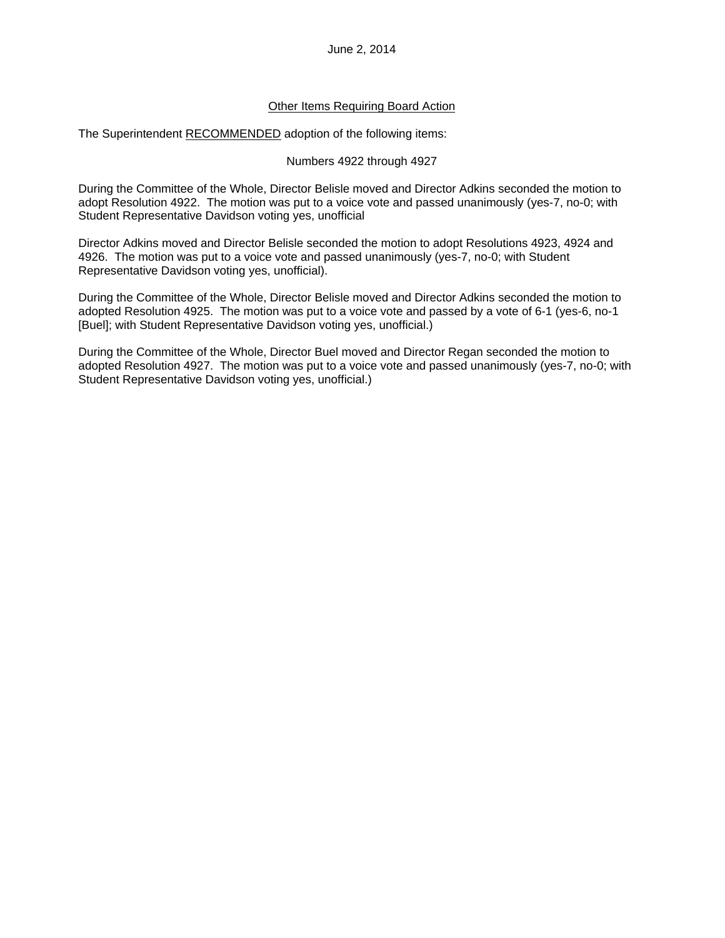### Other Items Requiring Board Action

The Superintendent RECOMMENDED adoption of the following items:

#### Numbers 4922 through 4927

During the Committee of the Whole, Director Belisle moved and Director Adkins seconded the motion to adopt Resolution 4922. The motion was put to a voice vote and passed unanimously (yes-7, no-0; with Student Representative Davidson voting yes, unofficial

Director Adkins moved and Director Belisle seconded the motion to adopt Resolutions 4923, 4924 and 4926. The motion was put to a voice vote and passed unanimously (yes-7, no-0; with Student Representative Davidson voting yes, unofficial).

During the Committee of the Whole, Director Belisle moved and Director Adkins seconded the motion to adopted Resolution 4925. The motion was put to a voice vote and passed by a vote of 6-1 (yes-6, no-1 [Buel]; with Student Representative Davidson voting yes, unofficial.)

During the Committee of the Whole, Director Buel moved and Director Regan seconded the motion to adopted Resolution 4927. The motion was put to a voice vote and passed unanimously (yes-7, no-0; with Student Representative Davidson voting yes, unofficial.)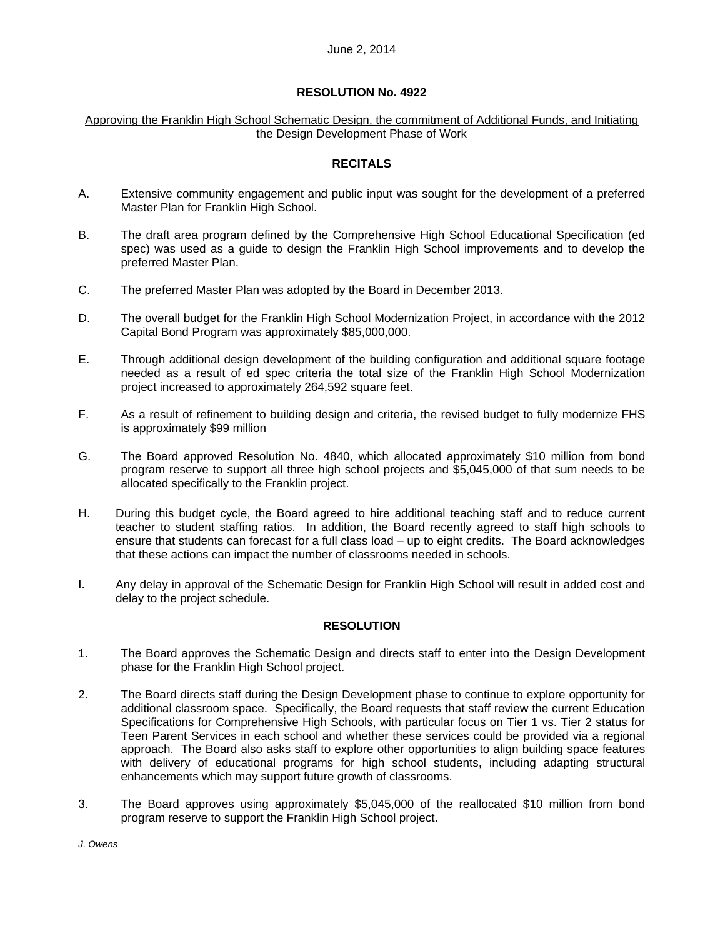#### Approving the Franklin High School Schematic Design, the commitment of Additional Funds, and Initiating the Design Development Phase of Work

### **RECITALS**

- A. Extensive community engagement and public input was sought for the development of a preferred Master Plan for Franklin High School.
- B. The draft area program defined by the Comprehensive High School Educational Specification (ed spec) was used as a guide to design the Franklin High School improvements and to develop the preferred Master Plan.
- C. The preferred Master Plan was adopted by the Board in December 2013.
- D. The overall budget for the Franklin High School Modernization Project, in accordance with the 2012 Capital Bond Program was approximately \$85,000,000.
- E. Through additional design development of the building configuration and additional square footage needed as a result of ed spec criteria the total size of the Franklin High School Modernization project increased to approximately 264,592 square feet.
- F. As a result of refinement to building design and criteria, the revised budget to fully modernize FHS is approximately \$99 million
- G. The Board approved Resolution No. 4840, which allocated approximately \$10 million from bond program reserve to support all three high school projects and \$5,045,000 of that sum needs to be allocated specifically to the Franklin project.
- H. During this budget cycle, the Board agreed to hire additional teaching staff and to reduce current teacher to student staffing ratios. In addition, the Board recently agreed to staff high schools to ensure that students can forecast for a full class load – up to eight credits. The Board acknowledges that these actions can impact the number of classrooms needed in schools.
- I. Any delay in approval of the Schematic Design for Franklin High School will result in added cost and delay to the project schedule.

## **RESOLUTION**

- 1. The Board approves the Schematic Design and directs staff to enter into the Design Development phase for the Franklin High School project.
- 2. The Board directs staff during the Design Development phase to continue to explore opportunity for additional classroom space. Specifically, the Board requests that staff review the current Education Specifications for Comprehensive High Schools, with particular focus on Tier 1 vs. Tier 2 status for Teen Parent Services in each school and whether these services could be provided via a regional approach. The Board also asks staff to explore other opportunities to align building space features with delivery of educational programs for high school students, including adapting structural enhancements which may support future growth of classrooms.
- 3. The Board approves using approximately \$5,045,000 of the reallocated \$10 million from bond program reserve to support the Franklin High School project.

*J. Owens*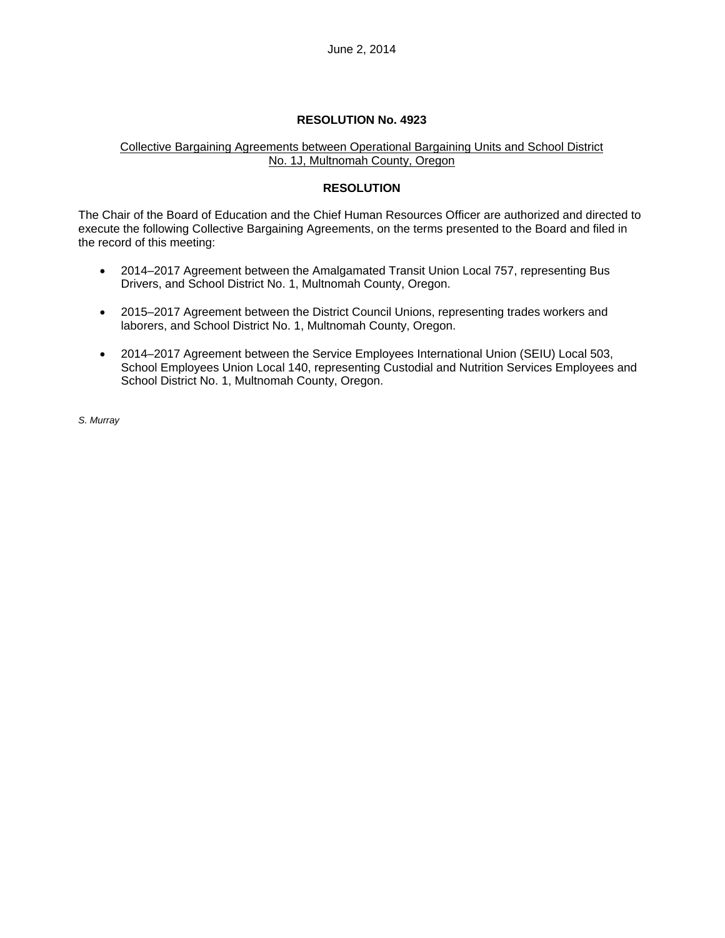## Collective Bargaining Agreements between Operational Bargaining Units and School District No. 1J, Multnomah County, Oregon

## **RESOLUTION**

The Chair of the Board of Education and the Chief Human Resources Officer are authorized and directed to execute the following Collective Bargaining Agreements, on the terms presented to the Board and filed in the record of this meeting:

- 2014–2017 Agreement between the Amalgamated Transit Union Local 757, representing Bus Drivers, and School District No. 1, Multnomah County, Oregon.
- 2015–2017 Agreement between the District Council Unions, representing trades workers and laborers, and School District No. 1, Multnomah County, Oregon.
- 2014–2017 Agreement between the Service Employees International Union (SEIU) Local 503, School Employees Union Local 140, representing Custodial and Nutrition Services Employees and School District No. 1, Multnomah County, Oregon.

*S. Murray*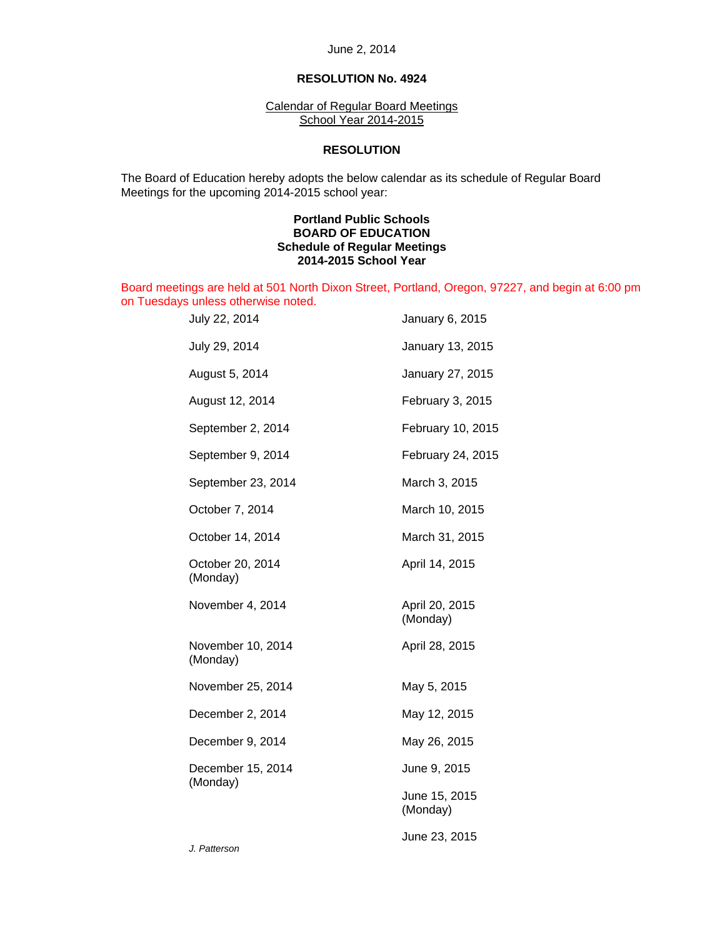June 2, 2014

### **RESOLUTION No. 4924**

Calendar of Regular Board Meetings School Year 2014-2015

#### **RESOLUTION**

 The Board of Education hereby adopts the below calendar as its schedule of Regular Board Meetings for the upcoming 2014-2015 school year:

### **Portland Public Schools BOARD OF EDUCATION Schedule of Regular Meetings 2014-2015 School Year**

Board meetings are held at 501 North Dixon Street, Portland, Oregon, 97227, and begin at 6:00 pm on Tuesdays unless otherwise noted.

| July 22, 2014                 | January 6, 2015            |
|-------------------------------|----------------------------|
| July 29, 2014                 | January 13, 2015           |
| August 5, 2014                | January 27, 2015           |
| August 12, 2014               | February 3, 2015           |
| September 2, 2014             | February 10, 2015          |
| September 9, 2014             | February 24, 2015          |
| September 23, 2014            | March 3, 2015              |
| October 7, 2014               | March 10, 2015             |
| October 14, 2014              | March 31, 2015             |
| October 20, 2014<br>(Monday)  | April 14, 2015             |
| November 4, 2014              | April 20, 2015<br>(Monday) |
| November 10, 2014<br>(Monday) | April 28, 2015             |
| November 25, 2014             | May 5, 2015                |
| December 2, 2014              | May 12, 2015               |
| December 9, 2014              | May 26, 2015               |
| December 15, 2014<br>(Monday) | June 9, 2015               |
|                               | June 15, 2015<br>(Monday)  |
|                               | June 23, 2015              |